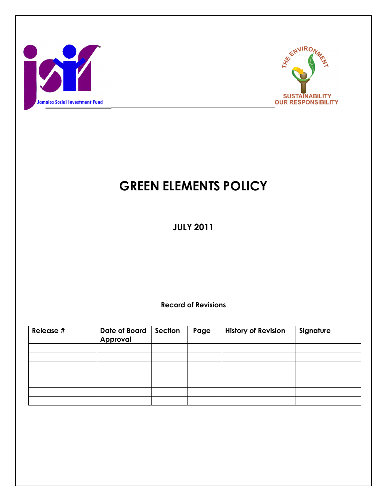



# GREEN ELEMENTS POLICY

JULY 2011

Record of Revisions

| Release # | <b>Date of Board</b><br>Approval | Section | Page | <b>History of Revision</b> | Signature |
|-----------|----------------------------------|---------|------|----------------------------|-----------|
|           |                                  |         |      |                            |           |
|           |                                  |         |      |                            |           |
|           |                                  |         |      |                            |           |
|           |                                  |         |      |                            |           |
|           |                                  |         |      |                            |           |
|           |                                  |         |      |                            |           |
|           |                                  |         |      |                            |           |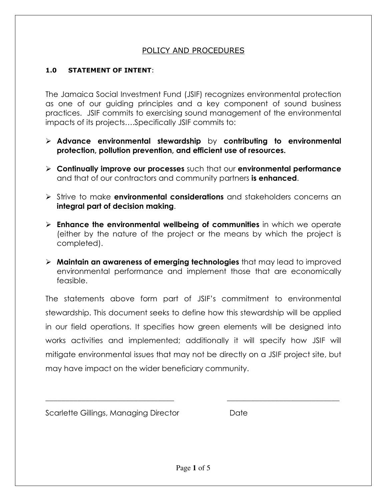#### POLICY AND PROCEDURES

#### 1.0 STATEMENT OF INTENT:

The Jamaica Social Investment Fund (JSIF) recognizes environmental protection as one of our guiding principles and a key component of sound business practices. JSIF commits to exercising sound management of the environmental impacts of its projects….Specifically JSIF commits to:

- $\triangleright$  Advance environmental stewardship by contributing to environmental protection, pollution prevention, and efficient use of resources.
- $\triangleright$  Continually improve our processes such that our environmental performance and that of our contractors and community partners is enhanced.
- $\triangleright$  Strive to make **environmental considerations** and stakeholders concerns an integral part of decision making.
- $\triangleright$  Enhance the environmental wellbeing of communities in which we operate (either by the nature of the project or the means by which the project is completed).
- $\triangleright$  Maintain an awareness of emerging technologies that may lead to improved environmental performance and implement those that are economically feasible.

The statements above form part of JSIF's commitment to environmental stewardship. This document seeks to define how this stewardship will be applied in our field operations. It specifies how green elements will be designed into works activities and implemented; additionally it will specify how JSIF will mitigate environmental issues that may not be directly on a JSIF project site, but may have impact on the wider beneficiary community.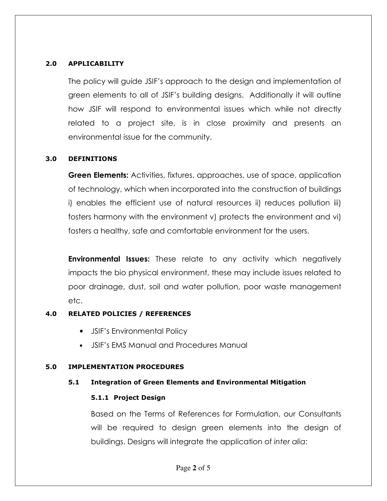#### 2.0 APPLICABILITY

The policy will guide JSIF's approach to the design and implementation of green elements to all of JSIF's building designs. Additionally it will outline how JSIF will respond to environmental issues which while not directly related to a project site, is in close proximity and presents an environmental issue for the community.

### 3.0 DEFINITIONS

**Green Elements:** Activities, fixtures, approaches, use of space, application of technology, which when incorporated into the construction of buildings i) enables the efficient use of natural resources ii) reduces pollution iii) fosters harmony with the environment v) protects the environment and vi) fosters a healthy, safe and comfortable environment for the users.

**Environmental Issues:** These relate to any activity which negatively impacts the bio physical environment, these may include issues related to poor drainage, dust, soil and water pollution, poor waste management etc.

## 4.0 RELATED POLICIES / REFERENCES

- JSIF's Environmental Policy
- JSIF's EMS Manual and Procedures Manual

#### 5.0 IMPLEMENTATION PROCEDURES

#### 5.1 Integration of Green Elements and Environmental Mitigation

#### 5.1.1 Project Design

Based on the Terms of References for Formulation, our Consultants will be required to design green elements into the design of buildings. Designs will integrate the application of inter alia: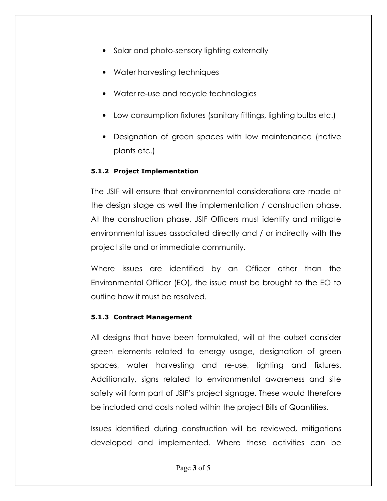- Solar and photo-sensory lighting externally
- Water harvesting techniques
- Water re-use and recycle technologies
- Low consumption fixtures (sanitary fittings, lighting bulbs etc.)
- Designation of green spaces with low maintenance (native plants etc.)

## 5.1.2 Project Implementation

The JSIF will ensure that environmental considerations are made at the design stage as well the implementation / construction phase. At the construction phase, JSIF Officers must identify and mitigate environmental issues associated directly and / or indirectly with the project site and or immediate community.

Where issues are identified by an Officer other than the Environmental Officer (EO), the issue must be brought to the EO to outline how it must be resolved.

## 5.1.3 Contract Management

All designs that have been formulated, will at the outset consider green elements related to energy usage, designation of green spaces, water harvesting and re-use, lighting and fixtures. Additionally, signs related to environmental awareness and site safety will form part of JSIF's project signage. These would therefore be included and costs noted within the project Bills of Quantities.

Issues identified during construction will be reviewed, mitigations developed and implemented. Where these activities can be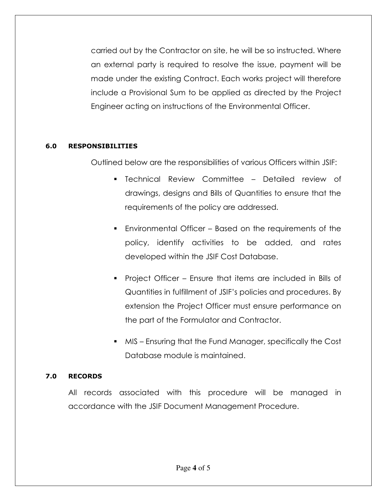carried out by the Contractor on site, he will be so instructed. Where an external party is required to resolve the issue, payment will be made under the existing Contract. Each works project will therefore include a Provisional Sum to be applied as directed by the Project Engineer acting on instructions of the Environmental Officer.

### 6.0 RESPONSIBILITIES

Outlined below are the responsibilities of various Officers within JSIF:

- Technical Review Committee Detailed review of drawings, designs and Bills of Quantities to ensure that the requirements of the policy are addressed.
- Environmental Officer Based on the requirements of the policy, identify activities to be added, and rates developed within the JSIF Cost Database.
- Project Officer Ensure that items are included in Bills of Quantities in fulfillment of JSIF's policies and procedures. By extension the Project Officer must ensure performance on the part of the Formulator and Contractor.
- MIS Ensuring that the Fund Manager, specifically the Cost Database module is maintained.

## 7.0 RECORDS

All records associated with this procedure will be managed in accordance with the JSIF Document Management Procedure.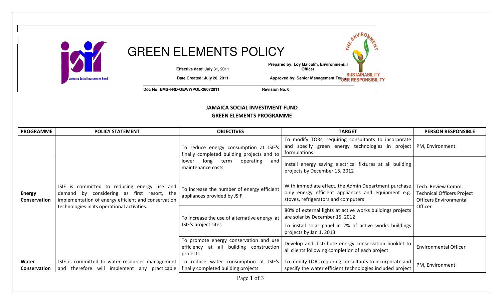

JAMAICA SOCIAL INVESTMENT FUND GREEN ELEMENTS PROGRAMME

| <b>PROGRAMME</b>              | <b>POLICY STATEMENT</b>                                                                                                                                                                          | <b>OBJECTIVES</b>                                                                                                                                      | <b>TARGET</b>                                                                                                                                      | <b>PERSON RESPONSIBLE</b>                                                                           |  |
|-------------------------------|--------------------------------------------------------------------------------------------------------------------------------------------------------------------------------------------------|--------------------------------------------------------------------------------------------------------------------------------------------------------|----------------------------------------------------------------------------------------------------------------------------------------------------|-----------------------------------------------------------------------------------------------------|--|
| <b>Energy</b><br>Conservation | JSIF is committed to reducing energy use and<br>demand by considering as first resort, the<br>implementation of energy efficient and conservation<br>technologies in its operational activities. | To reduce energy consumption at JSIF's<br>finally completed building projects and to<br>operating<br>long<br>term<br>lower<br>and<br>maintenance costs | To modify TORs, requiring consultants to incorporate<br>and specify green energy technologies in project<br>formulations.                          | <b>PM, Environment</b>                                                                              |  |
|                               |                                                                                                                                                                                                  |                                                                                                                                                        | Install energy saving electrical fixtures at all building<br>projects by December 15, 2012                                                         | Tech. Review Comm.<br><b>Technical Officers Project</b><br><b>Officers Environmental</b><br>Officer |  |
|                               |                                                                                                                                                                                                  | To increase the number of energy efficient<br>appliances provided by JSIF                                                                              | With immediate effect, the Admin Department purchase<br>only energy efficient appliances and equipment e.g.<br>stoves, refrigerators and computers |                                                                                                     |  |
|                               |                                                                                                                                                                                                  | To increase the use of alternative energy at<br>JSIF's project sites                                                                                   | 80% of external lights at active works buildings projects<br>are solar by December 15, 2012                                                        |                                                                                                     |  |
|                               |                                                                                                                                                                                                  |                                                                                                                                                        | To install solar panel in 2% of active works buildings<br>projects by Jan 1, 2013                                                                  |                                                                                                     |  |
|                               |                                                                                                                                                                                                  | To promote energy conservation and use<br>efficiency at all building construction<br>projects                                                          | Develop and distribute energy conservation booklet to<br>all clients following completion of each project                                          | <b>Environmental Officer</b>                                                                        |  |
| Water<br>Conservation         | JSIF is committed to water resources management<br>and therefore will implement any practicable                                                                                                  | To reduce water consumption at JSIF's<br>finally completed building projects                                                                           | To modify TORs requiring consultants to incorporate and<br>specify the water efficient technologies included project                               | PM, Environment                                                                                     |  |
| Page 1 of 3                   |                                                                                                                                                                                                  |                                                                                                                                                        |                                                                                                                                                    |                                                                                                     |  |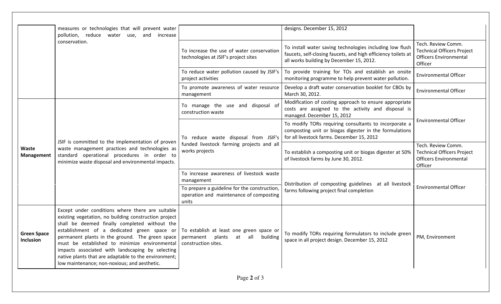|                                 | measures or technologies that will prevent water<br>pollution, reduce water<br>increase<br>use,<br>and                                                                                                                                                                                                                                                                                                                                                                                                                               |                                                                                                     | designs. December 15, 2012                                                                                                                                            |                                                                                                     |  |
|---------------------------------|--------------------------------------------------------------------------------------------------------------------------------------------------------------------------------------------------------------------------------------------------------------------------------------------------------------------------------------------------------------------------------------------------------------------------------------------------------------------------------------------------------------------------------------|-----------------------------------------------------------------------------------------------------|-----------------------------------------------------------------------------------------------------------------------------------------------------------------------|-----------------------------------------------------------------------------------------------------|--|
|                                 | conservation.                                                                                                                                                                                                                                                                                                                                                                                                                                                                                                                        | To increase the use of water conservation<br>technologies at JSIF's project sites                   | To install water saving technologies including low flush<br>faucets, self-closing faucets, and high efficiency toilets at<br>all works building by December 15, 2012. | Tech. Review Comm.<br><b>Technical Officers Project</b><br><b>Officers Environmental</b><br>Officer |  |
|                                 |                                                                                                                                                                                                                                                                                                                                                                                                                                                                                                                                      | To reduce water pollution caused by JSIF's<br>project activities                                    | To provide training for TOs and establish an onsite<br>monitoring programme to help prevent water pollution.                                                          | <b>Environmental Officer</b>                                                                        |  |
|                                 |                                                                                                                                                                                                                                                                                                                                                                                                                                                                                                                                      | To promote awareness of water resource<br>management                                                | Develop a draft water conservation booklet for CBOs by<br>March 30, 2012.                                                                                             | <b>Environmental Officer</b>                                                                        |  |
|                                 | JSIF is committed to the implementation of proven<br>waste management practices and technologies as<br>standard operational procedures in order to<br>minimize waste disposal and environmental impacts.                                                                                                                                                                                                                                                                                                                             | To manage the use and disposal of<br>construction waste                                             | Modification of costing approach to ensure appropriate<br>costs are assigned to the activity and disposal is<br>managed. December 15, 2012                            | <b>Environmental Officer</b>                                                                        |  |
|                                 |                                                                                                                                                                                                                                                                                                                                                                                                                                                                                                                                      | To reduce waste disposal from JSIF's<br>funded livestock farming projects and all<br>works projects | To modify TORs requiring consultants to incorporate a<br>composting unit or biogas digester in the formulations<br>for all livestock farms. December 15, 2012         |                                                                                                     |  |
| Waste<br>Management             |                                                                                                                                                                                                                                                                                                                                                                                                                                                                                                                                      |                                                                                                     | To establish a composting unit or biogas digester at 50%<br>of livestock farms by June 30, 2012.                                                                      | Tech. Review Comm.<br><b>Technical Officers Project</b><br><b>Officers Environmental</b><br>Officer |  |
|                                 |                                                                                                                                                                                                                                                                                                                                                                                                                                                                                                                                      | To increase awareness of livestock waste<br>management                                              | Distribution of composting guidelines at all livestock                                                                                                                | <b>Environmental Officer</b>                                                                        |  |
|                                 |                                                                                                                                                                                                                                                                                                                                                                                                                                                                                                                                      | To prepare a guideline for the construction,<br>operation and maintenance of composting<br>units    | farms following project final completion                                                                                                                              |                                                                                                     |  |
| <b>Green Space</b><br>Inclusion | Except under conditions where there are suitable<br>existing vegetation, no building construction project<br>shall be deemed finally completed without the<br>establishment of a dedicated green space or<br>permanent plants in the ground. The green space   permanent  plants  at  all  building<br>must be established to minimize environmental construction sites.<br>impacts associated with landscaping by selecting<br>native plants that are adaptable to the environment;<br>low maintenance; non-noxious; and aesthetic. | To establish at least one green space or                                                            | To modify TORs requiring formulators to include green<br>space in all project design. December 15, 2012                                                               | PM, Environment                                                                                     |  |
| Page 2 of 3                     |                                                                                                                                                                                                                                                                                                                                                                                                                                                                                                                                      |                                                                                                     |                                                                                                                                                                       |                                                                                                     |  |